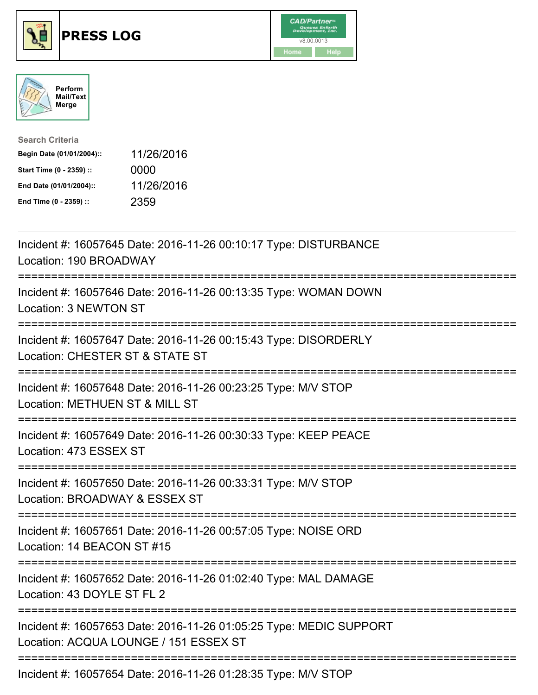





| <b>Search Criteria</b>    |            |
|---------------------------|------------|
| Begin Date (01/01/2004):: | 11/26/2016 |
| Start Time (0 - 2359) ::  | 0000       |
| End Date (01/01/2004)::   | 11/26/2016 |
| End Time (0 - 2359) ::    | 2359       |

| Incident #: 16057645 Date: 2016-11-26 00:10:17 Type: DISTURBANCE<br>Location: 190 BROADWAY                                        |
|-----------------------------------------------------------------------------------------------------------------------------------|
| Incident #: 16057646 Date: 2016-11-26 00:13:35 Type: WOMAN DOWN<br>Location: 3 NEWTON ST                                          |
| Incident #: 16057647 Date: 2016-11-26 00:15:43 Type: DISORDERLY<br>Location: CHESTER ST & STATE ST<br>==========                  |
| Incident #: 16057648 Date: 2016-11-26 00:23:25 Type: M/V STOP<br>Location: METHUEN ST & MILL ST<br>--------------                 |
| Incident #: 16057649 Date: 2016-11-26 00:30:33 Type: KEEP PEACE<br>Location: 473 ESSEX ST<br>==================================== |
| Incident #: 16057650 Date: 2016-11-26 00:33:31 Type: M/V STOP<br>Location: BROADWAY & ESSEX ST                                    |
| Incident #: 16057651 Date: 2016-11-26 00:57:05 Type: NOISE ORD<br>Location: 14 BEACON ST #15                                      |
| ==================<br>Incident #: 16057652 Date: 2016-11-26 01:02:40 Type: MAL DAMAGE<br>Location: 43 DOYLE ST FL 2               |
| Incident #: 16057653 Date: 2016-11-26 01:05:25 Type: MEDIC SUPPORT<br>Location: ACQUA LOUNGE / 151 ESSEX ST                       |
| Incident #: 16057654 Date: 2016-11-26 01:28:35 Type: M/V STOP                                                                     |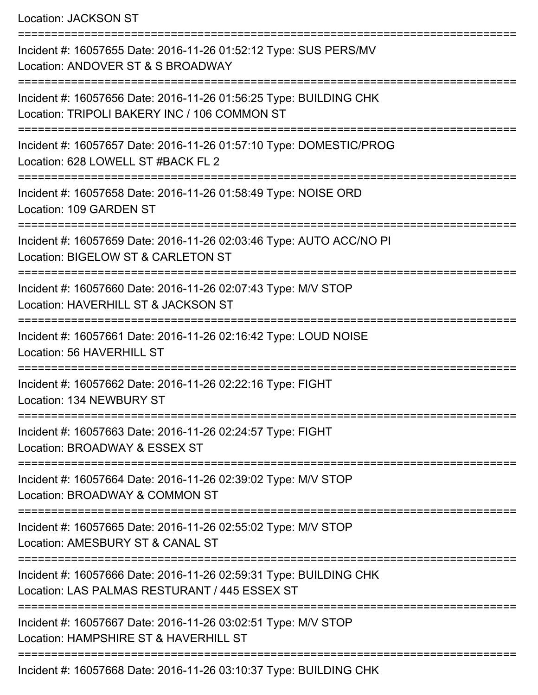Location: JACKSON ST

| Incident #: 16057655 Date: 2016-11-26 01:52:12 Type: SUS PERS/MV<br>Location: ANDOVER ST & S BROADWAY              |
|--------------------------------------------------------------------------------------------------------------------|
| Incident #: 16057656 Date: 2016-11-26 01:56:25 Type: BUILDING CHK<br>Location: TRIPOLI BAKERY INC / 106 COMMON ST  |
| Incident #: 16057657 Date: 2016-11-26 01:57:10 Type: DOMESTIC/PROG<br>Location: 628 LOWELL ST #BACK FL 2           |
| Incident #: 16057658 Date: 2016-11-26 01:58:49 Type: NOISE ORD<br>Location: 109 GARDEN ST                          |
| Incident #: 16057659 Date: 2016-11-26 02:03:46 Type: AUTO ACC/NO PI<br>Location: BIGELOW ST & CARLETON ST          |
| Incident #: 16057660 Date: 2016-11-26 02:07:43 Type: M/V STOP<br>Location: HAVERHILL ST & JACKSON ST               |
| Incident #: 16057661 Date: 2016-11-26 02:16:42 Type: LOUD NOISE<br><b>Location: 56 HAVERHILL ST</b>                |
| Incident #: 16057662 Date: 2016-11-26 02:22:16 Type: FIGHT<br>Location: 134 NEWBURY ST                             |
| Incident #: 16057663 Date: 2016-11-26 02:24:57 Type: FIGHT<br>Location: BROADWAY & ESSEX ST                        |
| Incident #: 16057664 Date: 2016-11-26 02:39:02 Type: M/V STOP<br>Location: BROADWAY & COMMON ST                    |
| Incident #: 16057665 Date: 2016-11-26 02:55:02 Type: M/V STOP<br>Location: AMESBURY ST & CANAL ST                  |
| Incident #: 16057666 Date: 2016-11-26 02:59:31 Type: BUILDING CHK<br>Location: LAS PALMAS RESTURANT / 445 ESSEX ST |
| Incident #: 16057667 Date: 2016-11-26 03:02:51 Type: M/V STOP<br>Location: HAMPSHIRE ST & HAVERHILL ST             |
| Incident #: 16057668 Date: 2016-11-26 03:10:37 Type: BUILDING CHK                                                  |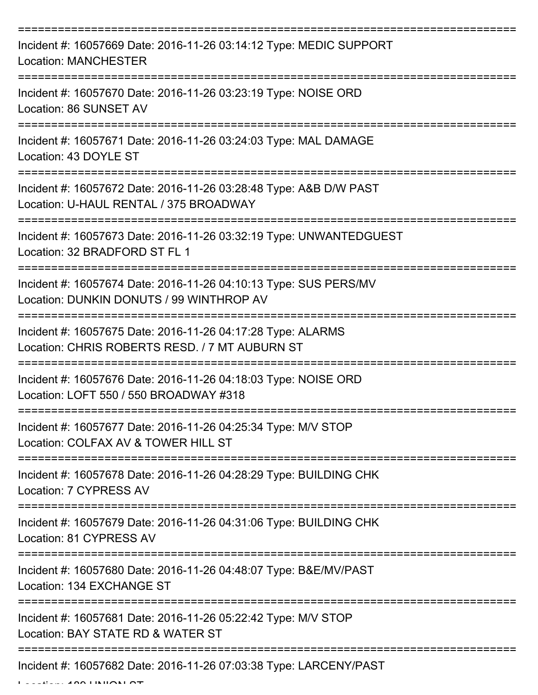| Incident #: 16057669 Date: 2016-11-26 03:14:12 Type: MEDIC SUPPORT<br><b>Location: MANCHESTER</b>                                |
|----------------------------------------------------------------------------------------------------------------------------------|
| Incident #: 16057670 Date: 2016-11-26 03:23:19 Type: NOISE ORD<br>Location: 86 SUNSET AV                                         |
| Incident #: 16057671 Date: 2016-11-26 03:24:03 Type: MAL DAMAGE<br>Location: 43 DOYLE ST                                         |
| Incident #: 16057672 Date: 2016-11-26 03:28:48 Type: A&B D/W PAST<br>Location: U-HAUL RENTAL / 375 BROADWAY                      |
| Incident #: 16057673 Date: 2016-11-26 03:32:19 Type: UNWANTEDGUEST<br>Location: 32 BRADFORD ST FL 1                              |
| ================<br>Incident #: 16057674 Date: 2016-11-26 04:10:13 Type: SUS PERS/MV<br>Location: DUNKIN DONUTS / 99 WINTHROP AV |
| Incident #: 16057675 Date: 2016-11-26 04:17:28 Type: ALARMS<br>Location: CHRIS ROBERTS RESD. / 7 MT AUBURN ST                    |
| Incident #: 16057676 Date: 2016-11-26 04:18:03 Type: NOISE ORD<br>Location: LOFT 550 / 550 BROADWAY #318                         |
| Incident #: 16057677 Date: 2016-11-26 04:25:34 Type: M/V STOP<br>Location: COLFAX AV & TOWER HILL ST                             |
| Incident #: 16057678 Date: 2016-11-26 04:28:29 Type: BUILDING CHK<br>Location: 7 CYPRESS AV                                      |
| Incident #: 16057679 Date: 2016-11-26 04:31:06 Type: BUILDING CHK<br>Location: 81 CYPRESS AV                                     |
| Incident #: 16057680 Date: 2016-11-26 04:48:07 Type: B&E/MV/PAST<br>Location: 134 EXCHANGE ST                                    |
| Incident #: 16057681 Date: 2016-11-26 05:22:42 Type: M/V STOP<br>Location: BAY STATE RD & WATER ST                               |
| Incident #: 16057682 Date: 2016-11-26 07:03:38 Type: LARCENY/PAST                                                                |

 $L = L$ union: 189 UNION ST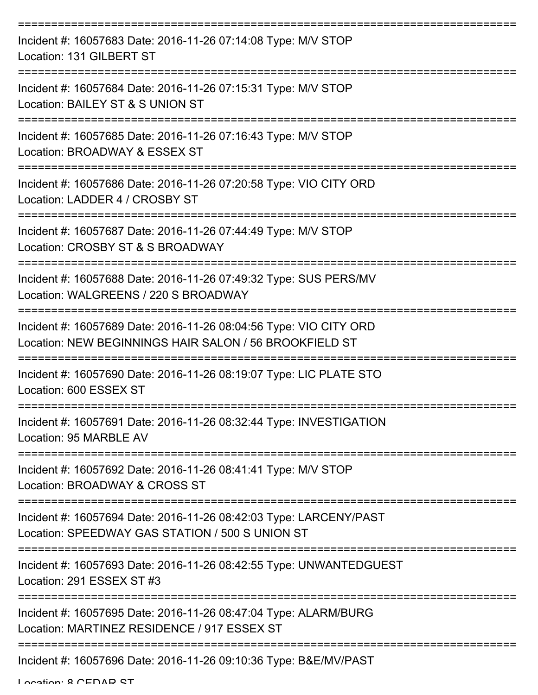| Incident #: 16057683 Date: 2016-11-26 07:14:08 Type: M/V STOP<br>Location: 131 GILBERT ST                                   |
|-----------------------------------------------------------------------------------------------------------------------------|
| Incident #: 16057684 Date: 2016-11-26 07:15:31 Type: M/V STOP<br>Location: BAILEY ST & S UNION ST                           |
| Incident #: 16057685 Date: 2016-11-26 07:16:43 Type: M/V STOP<br>Location: BROADWAY & ESSEX ST                              |
| Incident #: 16057686 Date: 2016-11-26 07:20:58 Type: VIO CITY ORD<br>Location: LADDER 4 / CROSBY ST                         |
| Incident #: 16057687 Date: 2016-11-26 07:44:49 Type: M/V STOP<br>Location: CROSBY ST & S BROADWAY                           |
| Incident #: 16057688 Date: 2016-11-26 07:49:32 Type: SUS PERS/MV<br>Location: WALGREENS / 220 S BROADWAY                    |
| Incident #: 16057689 Date: 2016-11-26 08:04:56 Type: VIO CITY ORD<br>Location: NEW BEGINNINGS HAIR SALON / 56 BROOKFIELD ST |
| Incident #: 16057690 Date: 2016-11-26 08:19:07 Type: LIC PLATE STO<br>Location: 600 ESSEX ST                                |
| Incident #: 16057691 Date: 2016-11-26 08:32:44 Type: INVESTIGATION<br>Location: 95 MARBLE AV                                |
| Incident #: 16057692 Date: 2016-11-26 08:41:41 Type: M/V STOP<br>Location: BROADWAY & CROSS ST                              |
| Incident #: 16057694 Date: 2016-11-26 08:42:03 Type: LARCENY/PAST<br>Location: SPEEDWAY GAS STATION / 500 S UNION ST        |
| Incident #: 16057693 Date: 2016-11-26 08:42:55 Type: UNWANTEDGUEST<br>Location: 291 ESSEX ST #3                             |
| Incident #: 16057695 Date: 2016-11-26 08:47:04 Type: ALARM/BURG<br>Location: MARTINEZ RESIDENCE / 917 ESSEX ST              |
| Incident #: 16057696 Date: 2016-11-26 09:10:36 Type: B&E/MV/PAST                                                            |

Location: 8 CEDAD CT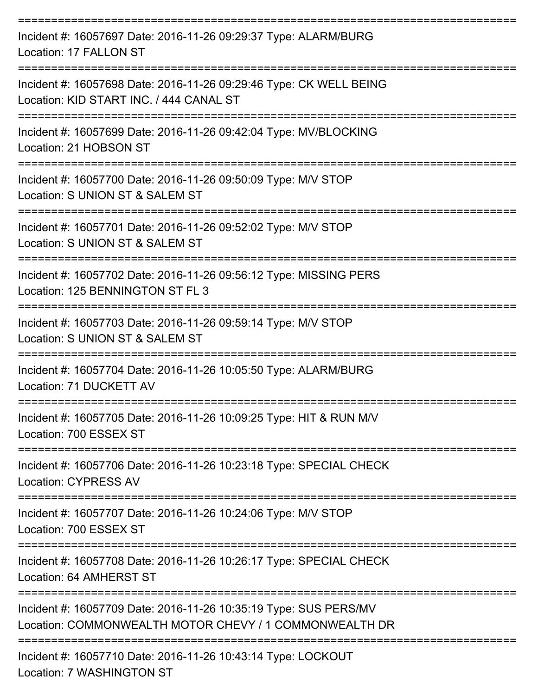| Incident #: 16057697 Date: 2016-11-26 09:29:37 Type: ALARM/BURG<br>Location: 17 FALLON ST                                  |
|----------------------------------------------------------------------------------------------------------------------------|
| Incident #: 16057698 Date: 2016-11-26 09:29:46 Type: CK WELL BEING<br>Location: KID START INC. / 444 CANAL ST              |
| Incident #: 16057699 Date: 2016-11-26 09:42:04 Type: MV/BLOCKING<br>Location: 21 HOBSON ST                                 |
| Incident #: 16057700 Date: 2016-11-26 09:50:09 Type: M/V STOP<br>Location: S UNION ST & SALEM ST                           |
| Incident #: 16057701 Date: 2016-11-26 09:52:02 Type: M/V STOP<br>Location: S UNION ST & SALEM ST                           |
| Incident #: 16057702 Date: 2016-11-26 09:56:12 Type: MISSING PERS<br>Location: 125 BENNINGTON ST FL 3                      |
| Incident #: 16057703 Date: 2016-11-26 09:59:14 Type: M/V STOP<br>Location: S UNION ST & SALEM ST                           |
| Incident #: 16057704 Date: 2016-11-26 10:05:50 Type: ALARM/BURG<br>Location: 71 DUCKETT AV                                 |
| Incident #: 16057705 Date: 2016-11-26 10:09:25 Type: HIT & RUN M/V<br>Location: 700 ESSEX ST                               |
| Incident #: 16057706 Date: 2016-11-26 10:23:18 Type: SPECIAL CHECK<br><b>Location: CYPRESS AV</b>                          |
| Incident #: 16057707 Date: 2016-11-26 10:24:06 Type: M/V STOP<br>Location: 700 ESSEX ST                                    |
| Incident #: 16057708 Date: 2016-11-26 10:26:17 Type: SPECIAL CHECK<br>Location: 64 AMHERST ST                              |
| Incident #: 16057709 Date: 2016-11-26 10:35:19 Type: SUS PERS/MV<br>Location: COMMONWEALTH MOTOR CHEVY / 1 COMMONWEALTH DR |
| Incident #: 16057710 Date: 2016-11-26 10:43:14 Type: LOCKOUT<br>Location: 7 WASHINGTON ST                                  |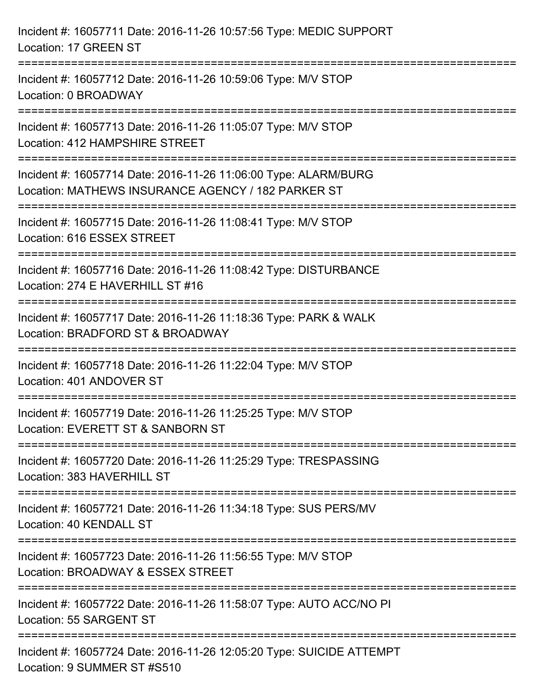| Incident #: 16057711 Date: 2016-11-26 10:57:56 Type: MEDIC SUPPORT<br>Location: 17 GREEN ST                                                               |
|-----------------------------------------------------------------------------------------------------------------------------------------------------------|
| Incident #: 16057712 Date: 2016-11-26 10:59:06 Type: M/V STOP<br>Location: 0 BROADWAY                                                                     |
| Incident #: 16057713 Date: 2016-11-26 11:05:07 Type: M/V STOP<br>Location: 412 HAMPSHIRE STREET                                                           |
| ================================<br>Incident #: 16057714 Date: 2016-11-26 11:06:00 Type: ALARM/BURG<br>Location: MATHEWS INSURANCE AGENCY / 182 PARKER ST |
| Incident #: 16057715 Date: 2016-11-26 11:08:41 Type: M/V STOP<br>Location: 616 ESSEX STREET<br>-------------------------------                            |
| Incident #: 16057716 Date: 2016-11-26 11:08:42 Type: DISTURBANCE<br>Location: 274 E HAVERHILL ST #16                                                      |
| Incident #: 16057717 Date: 2016-11-26 11:18:36 Type: PARK & WALK<br>Location: BRADFORD ST & BROADWAY                                                      |
| Incident #: 16057718 Date: 2016-11-26 11:22:04 Type: M/V STOP<br>Location: 401 ANDOVER ST                                                                 |
| Incident #: 16057719 Date: 2016-11-26 11:25:25 Type: M/V STOP<br>Location: EVERETT ST & SANBORN ST                                                        |
| Incident #: 16057720 Date: 2016-11-26 11:25:29 Type: TRESPASSING<br>Location: 383 HAVERHILL ST                                                            |
| Incident #: 16057721 Date: 2016-11-26 11:34:18 Type: SUS PERS/MV<br>Location: 40 KENDALL ST                                                               |
| Incident #: 16057723 Date: 2016-11-26 11:56:55 Type: M/V STOP<br>Location: BROADWAY & ESSEX STREET                                                        |
| Incident #: 16057722 Date: 2016-11-26 11:58:07 Type: AUTO ACC/NO PI<br>Location: 55 SARGENT ST                                                            |
| Incident #: 16057724 Date: 2016-11-26 12:05:20 Type: SUICIDE ATTEMPT<br>Location: 9 SUMMER ST #S510                                                       |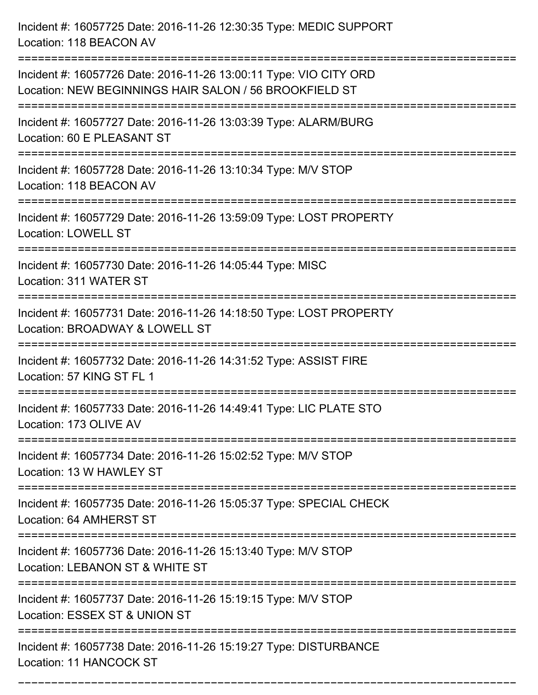Incident #: 16057725 Date: 2016-11-26 12:30:35 Type: MEDIC SUPPORT Location: 118 BEACON AV =========================================================================== Incident #: 16057726 Date: 2016-11-26 13:00:11 Type: VIO CITY ORD Location: NEW BEGINNINGS HAIR SALON / 56 BROOKFIELD ST =========================================================================== Incident #: 16057727 Date: 2016-11-26 13:03:39 Type: ALARM/BURG Location: 60 E PLEASANT ST =========================================================================== Incident #: 16057728 Date: 2016-11-26 13:10:34 Type: M/V STOP Location: 118 BEACON AV =========================================================================== Incident #: 16057729 Date: 2016-11-26 13:59:09 Type: LOST PROPERTY Location: LOWELL ST =========================================================================== Incident #: 16057730 Date: 2016-11-26 14:05:44 Type: MISC Location: 311 WATER ST =========================================================================== Incident #: 16057731 Date: 2016-11-26 14:18:50 Type: LOST PROPERTY Location: BROADWAY & LOWELL ST =========================================================================== Incident #: 16057732 Date: 2016-11-26 14:31:52 Type: ASSIST FIRE Location: 57 KING ST FL 1 =========================================================================== Incident #: 16057733 Date: 2016-11-26 14:49:41 Type: LIC PLATE STO Location: 173 OLIVE AV =========================================================================== Incident #: 16057734 Date: 2016-11-26 15:02:52 Type: M/V STOP Location: 13 W HAWLEY ST =========================================================================== Incident #: 16057735 Date: 2016-11-26 15:05:37 Type: SPECIAL CHECK Location: 64 AMHERST ST =========================================================================== Incident #: 16057736 Date: 2016-11-26 15:13:40 Type: M/V STOP Location: LEBANON ST & WHITE ST =========================================================================== Incident #: 16057737 Date: 2016-11-26 15:19:15 Type: M/V STOP Location: ESSEX ST & UNION ST =========================================================================== Incident #: 16057738 Date: 2016-11-26 15:19:27 Type: DISTURBANCE Location: 11 HANCOCK ST

===========================================================================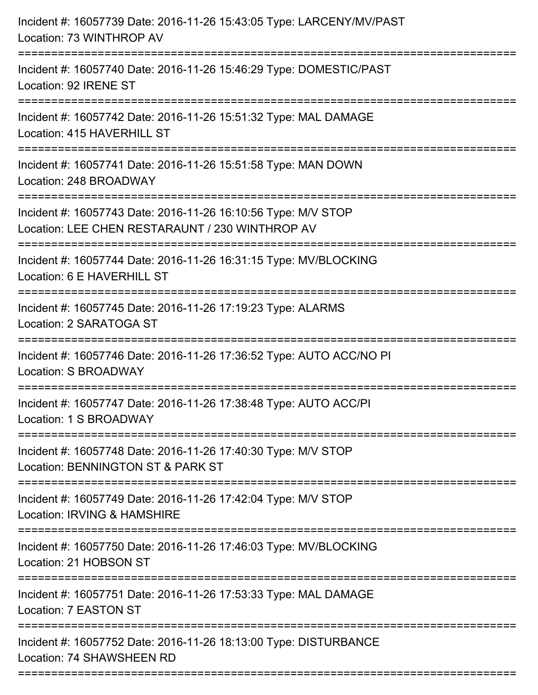| Incident #: 16057739 Date: 2016-11-26 15:43:05 Type: LARCENY/MV/PAST<br>Location: 73 WINTHROP AV                 |
|------------------------------------------------------------------------------------------------------------------|
| Incident #: 16057740 Date: 2016-11-26 15:46:29 Type: DOMESTIC/PAST<br>Location: 92 IRENE ST                      |
| Incident #: 16057742 Date: 2016-11-26 15:51:32 Type: MAL DAMAGE<br>Location: 415 HAVERHILL ST                    |
| Incident #: 16057741 Date: 2016-11-26 15:51:58 Type: MAN DOWN<br>Location: 248 BROADWAY                          |
| Incident #: 16057743 Date: 2016-11-26 16:10:56 Type: M/V STOP<br>Location: LEE CHEN RESTARAUNT / 230 WINTHROP AV |
| Incident #: 16057744 Date: 2016-11-26 16:31:15 Type: MV/BLOCKING<br>Location: 6 E HAVERHILL ST                   |
| Incident #: 16057745 Date: 2016-11-26 17:19:23 Type: ALARMS<br>Location: 2 SARATOGA ST                           |
| Incident #: 16057746 Date: 2016-11-26 17:36:52 Type: AUTO ACC/NO PI<br>Location: S BROADWAY                      |
| Incident #: 16057747 Date: 2016-11-26 17:38:48 Type: AUTO ACC/PI<br>Location: 1 S BROADWAY                       |
| Incident #: 16057748 Date: 2016-11-26 17:40:30 Type: M/V STOP<br>Location: BENNINGTON ST & PARK ST               |
| Incident #: 16057749 Date: 2016-11-26 17:42:04 Type: M/V STOP<br>Location: IRVING & HAMSHIRE                     |
| Incident #: 16057750 Date: 2016-11-26 17:46:03 Type: MV/BLOCKING<br>Location: 21 HOBSON ST                       |
| Incident #: 16057751 Date: 2016-11-26 17:53:33 Type: MAL DAMAGE<br>Location: 7 EASTON ST                         |
| Incident #: 16057752 Date: 2016-11-26 18:13:00 Type: DISTURBANCE<br>Location: 74 SHAWSHEEN RD                    |
|                                                                                                                  |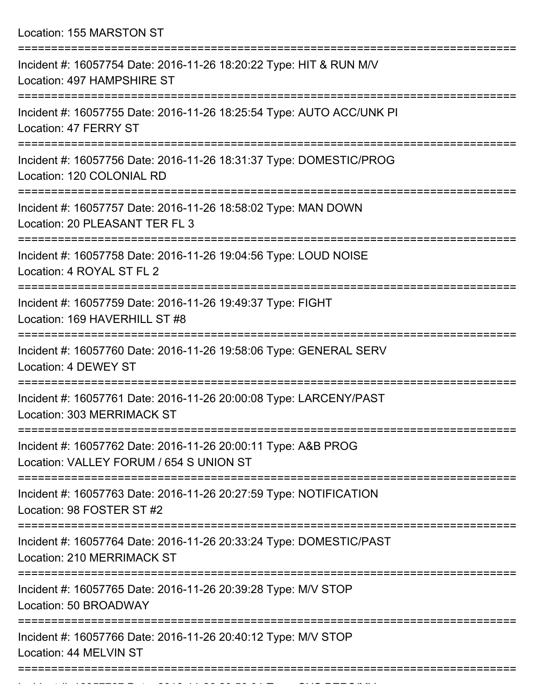Location: 155 MARSTON ST

| Incident #: 16057754 Date: 2016-11-26 18:20:22 Type: HIT & RUN M/V<br>Location: 497 HAMPSHIRE ST<br>=========== |
|-----------------------------------------------------------------------------------------------------------------|
| Incident #: 16057755 Date: 2016-11-26 18:25:54 Type: AUTO ACC/UNK PI<br>Location: 47 FERRY ST                   |
| Incident #: 16057756 Date: 2016-11-26 18:31:37 Type: DOMESTIC/PROG<br>Location: 120 COLONIAL RD                 |
| Incident #: 16057757 Date: 2016-11-26 18:58:02 Type: MAN DOWN<br>Location: 20 PLEASANT TER FL 3                 |
| Incident #: 16057758 Date: 2016-11-26 19:04:56 Type: LOUD NOISE<br>Location: 4 ROYAL ST FL 2                    |
| Incident #: 16057759 Date: 2016-11-26 19:49:37 Type: FIGHT<br>Location: 169 HAVERHILL ST #8                     |
| Incident #: 16057760 Date: 2016-11-26 19:58:06 Type: GENERAL SERV<br>Location: 4 DEWEY ST                       |
| Incident #: 16057761 Date: 2016-11-26 20:00:08 Type: LARCENY/PAST<br>Location: 303 MERRIMACK ST                 |
| Incident #: 16057762 Date: 2016-11-26 20:00:11 Type: A&B PROG<br>Location: VALLEY FORUM / 654 S UNION ST        |
| Incident #: 16057763 Date: 2016-11-26 20:27:59 Type: NOTIFICATION<br>Location: 98 FOSTER ST #2                  |
| Incident #: 16057764 Date: 2016-11-26 20:33:24 Type: DOMESTIC/PAST<br>Location: 210 MERRIMACK ST                |
| Incident #: 16057765 Date: 2016-11-26 20:39:28 Type: M/V STOP<br>Location: 50 BROADWAY                          |
| Incident #: 16057766 Date: 2016-11-26 20:40:12 Type: M/V STOP<br>Location: 44 MELVIN ST                         |
|                                                                                                                 |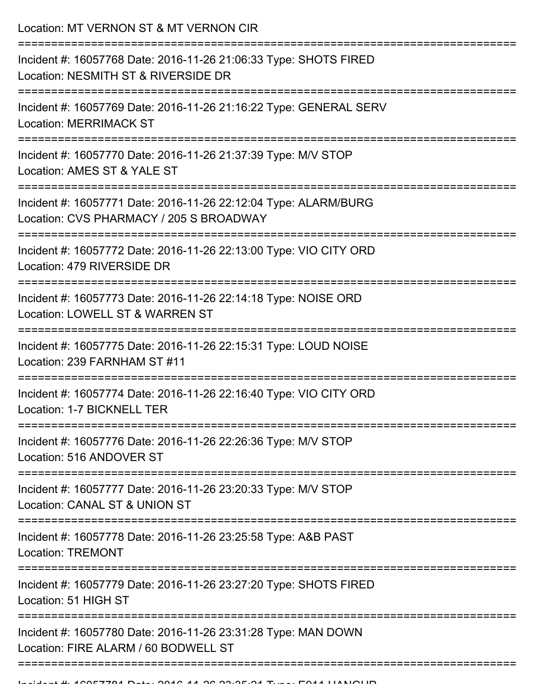Location: MT VERNON ST & MT VERNON CIR

| Incident #: 16057768 Date: 2016-11-26 21:06:33 Type: SHOTS FIRED<br>Location: NESMITH ST & RIVERSIDE DR    |
|------------------------------------------------------------------------------------------------------------|
| Incident #: 16057769 Date: 2016-11-26 21:16:22 Type: GENERAL SERV<br><b>Location: MERRIMACK ST</b>         |
| Incident #: 16057770 Date: 2016-11-26 21:37:39 Type: M/V STOP<br>Location: AMES ST & YALE ST               |
| Incident #: 16057771 Date: 2016-11-26 22:12:04 Type: ALARM/BURG<br>Location: CVS PHARMACY / 205 S BROADWAY |
| Incident #: 16057772 Date: 2016-11-26 22:13:00 Type: VIO CITY ORD<br>Location: 479 RIVERSIDE DR            |
| Incident #: 16057773 Date: 2016-11-26 22:14:18 Type: NOISE ORD<br>Location: LOWELL ST & WARREN ST          |
| Incident #: 16057775 Date: 2016-11-26 22:15:31 Type: LOUD NOISE<br>Location: 239 FARNHAM ST #11            |
| Incident #: 16057774 Date: 2016-11-26 22:16:40 Type: VIO CITY ORD<br>Location: 1-7 BICKNELL TER            |
| Incident #: 16057776 Date: 2016-11-26 22:26:36 Type: M/V STOP<br>Location: 516 ANDOVER ST                  |
| Incident #: 16057777 Date: 2016-11-26 23:20:33 Type: M/V STOP<br>Location: CANAL ST & UNION ST             |
| Incident #: 16057778 Date: 2016-11-26 23:25:58 Type: A&B PAST<br><b>Location: TREMONT</b>                  |
| Incident #: 16057779 Date: 2016-11-26 23:27:20 Type: SHOTS FIRED<br>Location: 51 HIGH ST                   |
| Incident #: 16057780 Date: 2016-11-26 23:31:28 Type: MAN DOWN<br>Location: FIRE ALARM / 60 BODWELL ST      |
|                                                                                                            |